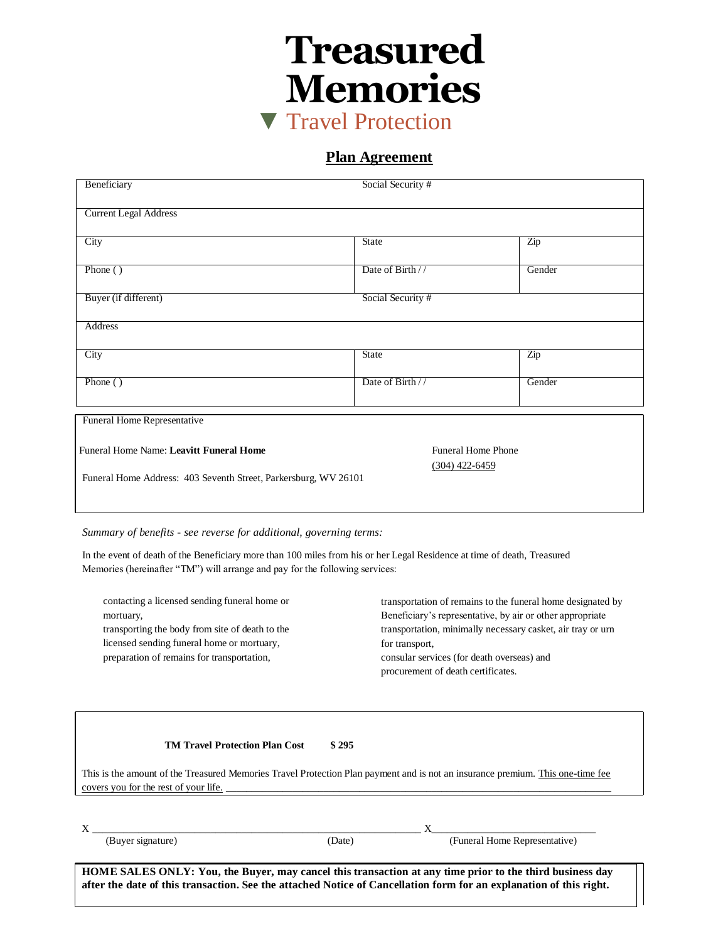**Treasured Memories** ▼ Travel Protection

**Plan Agreement**

| Beneficiary                                                     | Social Security #         |                  |
|-----------------------------------------------------------------|---------------------------|------------------|
| <b>Current Legal Address</b>                                    |                           |                  |
| City                                                            | <b>State</b>              | Zip              |
| Phone $()$                                                      | Date of Birth //          | Gender           |
| Buyer (if different)                                            | Social Security #         |                  |
| Address                                                         |                           |                  |
| City                                                            | <b>State</b>              | $\overline{Z}ip$ |
| Phone ()                                                        | Date of Birth //          | Gender           |
| Funeral Home Representative                                     |                           |                  |
| Funeral Home Name: Leavitt Funeral Home                         | <b>Funeral Home Phone</b> |                  |
| Funeral Home Address: 403 Seventh Street, Parkersburg, WV 26101 | $(304)$ 422-6459          |                  |

*Summary of benefits - see reverse for additional, governing terms:*

In the event of death of the Beneficiary more than 100 miles from his or her Legal Residence at time of death, Treasured Memories (hereinafter "TM") will arrange and pay for the following services:

| contacting a licensed sending funeral home or<br>mortuary,<br>transporting the body from site of death to the<br>licensed sending funeral home or mortuary,<br>preparation of remains for transportation, | transportation of remains to the funeral home designated by<br>Beneficiary's representative, by air or other appropriate<br>transportation, minimally necessary casket, air tray or urn<br>for transport.<br>consular services (for death overseas) and<br>procurement of death certificates. |
|-----------------------------------------------------------------------------------------------------------------------------------------------------------------------------------------------------------|-----------------------------------------------------------------------------------------------------------------------------------------------------------------------------------------------------------------------------------------------------------------------------------------------|
| <b>TM Travel Protection Plan Cost</b>                                                                                                                                                                     | \$295                                                                                                                                                                                                                                                                                         |

This is the amount of the Treasured Memories Travel Protection Plan payment and is not an insurance premium. This one-time fee covers you for the rest of your life.

| (Buyer signature)                                                                                                  | (Date) | (Funeral Home Representative) |  |  |
|--------------------------------------------------------------------------------------------------------------------|--------|-------------------------------|--|--|
|                                                                                                                    |        |                               |  |  |
| HOME SALES ONLY: You, the Buyer, may cancel this transaction at any time prior to the third business day           |        |                               |  |  |
| after the date of this transaction. See the attached Notice of Cancellation form for an explanation of this right. |        |                               |  |  |
|                                                                                                                    |        |                               |  |  |